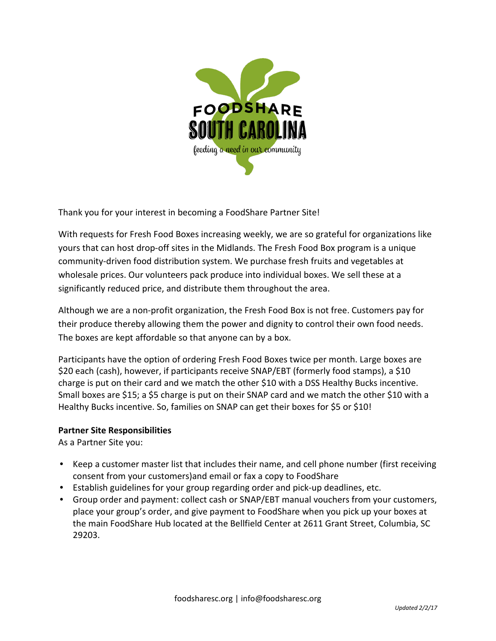

Thank you for your interest in becoming a FoodShare Partner Site!

With requests for Fresh Food Boxes increasing weekly, we are so grateful for organizations like yours that can host drop-off sites in the Midlands. The Fresh Food Box program is a unique community-driven food distribution system. We purchase fresh fruits and vegetables at wholesale prices. Our volunteers pack produce into individual boxes. We sell these at a significantly reduced price, and distribute them throughout the area.

Although we are a non-profit organization, the Fresh Food Box is not free. Customers pay for their produce thereby allowing them the power and dignity to control their own food needs. The boxes are kept affordable so that anyone can by a box.

Participants have the option of ordering Fresh Food Boxes twice per month. Large boxes are \$20 each (cash), however, if participants receive SNAP/EBT (formerly food stamps), a \$10 charge is put on their card and we match the other \$10 with a DSS Healthy Bucks incentive. Small boxes are \$15; a \$5 charge is put on their SNAP card and we match the other \$10 with a Healthy Bucks incentive. So, families on SNAP can get their boxes for \$5 or \$10!

## **Partner Site Responsibilities**

As a Partner Site you:

- Keep a customer master list that includes their name, and cell phone number (first receiving consent from your customers)and email or fax a copy to FoodShare
- Establish guidelines for your group regarding order and pick-up deadlines, etc.
- Group order and payment: collect cash or SNAP/EBT manual vouchers from your customers, place your group's order, and give payment to FoodShare when you pick up your boxes at the main FoodShare Hub located at the Bellfield Center at 2611 Grant Street, Columbia, SC 29203.